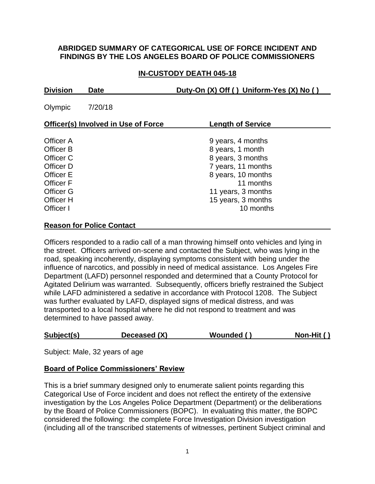#### **ABRIDGED SUMMARY OF CATEGORICAL USE OF FORCE INCIDENT AND FINDINGS BY THE LOS ANGELES BOARD OF POLICE COMMISSIONERS**

## **IN-CUSTODY DEATH 045-18**

| <b>Division</b><br><b>Date</b>                                                                                                  |         | Duty-On (X) Off () Uniform-Yes (X) No ()                                                                                                                                     |  |
|---------------------------------------------------------------------------------------------------------------------------------|---------|------------------------------------------------------------------------------------------------------------------------------------------------------------------------------|--|
| Olympic                                                                                                                         | 7/20/18 |                                                                                                                                                                              |  |
| <b>Officer(s) Involved in Use of Force</b>                                                                                      |         | <b>Length of Service</b>                                                                                                                                                     |  |
| Officer A<br>Officer B<br>Officer C<br>Officer D<br>Officer E<br><b>Officer F</b><br><b>Officer G</b><br>Officer H<br>Officer I |         | 9 years, 4 months<br>8 years, 1 month<br>8 years, 3 months<br>7 years, 11 months<br>8 years, 10 months<br>11 months<br>11 years, 3 months<br>15 years, 3 months<br>10 months |  |
|                                                                                                                                 |         |                                                                                                                                                                              |  |

#### **Reason for Police Contact**

Officers responded to a radio call of a man throwing himself onto vehicles and lying in the street. Officers arrived on-scene and contacted the Subject, who was lying in the road, speaking incoherently, displaying symptoms consistent with being under the influence of narcotics, and possibly in need of medical assistance. Los Angeles Fire Department (LAFD) personnel responded and determined that a County Protocol for Agitated Delirium was warranted. Subsequently, officers briefly restrained the Subject while LAFD administered a sedative in accordance with Protocol 1208. The Subject was further evaluated by LAFD, displayed signs of medical distress, and was transported to a local hospital where he did not respond to treatment and was determined to have passed away.

| Subject(s)<br>Deceased (X) |  | Non-Hit $()$<br>Wounded () |
|----------------------------|--|----------------------------|
|----------------------------|--|----------------------------|

Subject: Male, 32 years of age

#### **Board of Police Commissioners' Review**

This is a brief summary designed only to enumerate salient points regarding this Categorical Use of Force incident and does not reflect the entirety of the extensive investigation by the Los Angeles Police Department (Department) or the deliberations by the Board of Police Commissioners (BOPC). In evaluating this matter, the BOPC considered the following: the complete Force Investigation Division investigation (including all of the transcribed statements of witnesses, pertinent Subject criminal and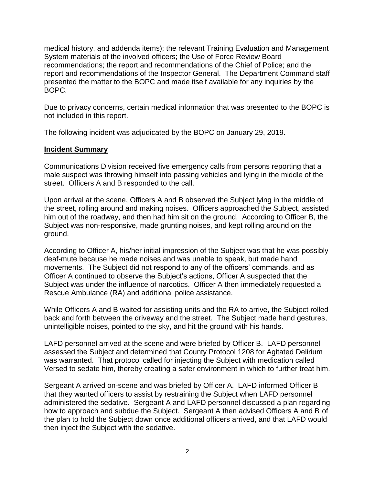medical history, and addenda items); the relevant Training Evaluation and Management System materials of the involved officers; the Use of Force Review Board recommendations; the report and recommendations of the Chief of Police; and the report and recommendations of the Inspector General. The Department Command staff presented the matter to the BOPC and made itself available for any inquiries by the BOPC.

Due to privacy concerns, certain medical information that was presented to the BOPC is not included in this report.

The following incident was adjudicated by the BOPC on January 29, 2019.

#### **Incident Summary**

Communications Division received five emergency calls from persons reporting that a male suspect was throwing himself into passing vehicles and lying in the middle of the street. Officers A and B responded to the call.

Upon arrival at the scene, Officers A and B observed the Subject lying in the middle of the street, rolling around and making noises. Officers approached the Subject, assisted him out of the roadway, and then had him sit on the ground. According to Officer B, the Subject was non-responsive, made grunting noises, and kept rolling around on the ground.

According to Officer A, his/her initial impression of the Subject was that he was possibly deaf-mute because he made noises and was unable to speak, but made hand movements. The Subject did not respond to any of the officers' commands, and as Officer A continued to observe the Subject's actions, Officer A suspected that the Subject was under the influence of narcotics. Officer A then immediately requested a Rescue Ambulance (RA) and additional police assistance.

While Officers A and B waited for assisting units and the RA to arrive, the Subject rolled back and forth between the driveway and the street. The Subject made hand gestures, unintelligible noises, pointed to the sky, and hit the ground with his hands.

LAFD personnel arrived at the scene and were briefed by Officer B. LAFD personnel assessed the Subject and determined that County Protocol 1208 for Agitated Delirium was warranted. That protocol called for injecting the Subject with medication called Versed to sedate him, thereby creating a safer environment in which to further treat him.

Sergeant A arrived on-scene and was briefed by Officer A. LAFD informed Officer B that they wanted officers to assist by restraining the Subject when LAFD personnel administered the sedative. Sergeant A and LAFD personnel discussed a plan regarding how to approach and subdue the Subject. Sergeant A then advised Officers A and B of the plan to hold the Subject down once additional officers arrived, and that LAFD would then inject the Subject with the sedative.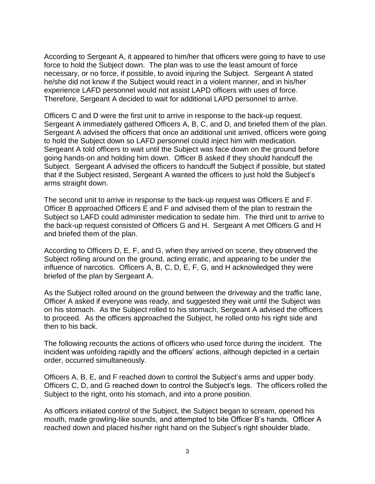According to Sergeant A, it appeared to him/her that officers were going to have to use force to hold the Subject down. The plan was to use the least amount of force necessary, or no force, if possible, to avoid injuring the Subject. Sergeant A stated he/she did not know if the Subject would react in a violent manner, and in his/her experience LAFD personnel would not assist LAPD officers with uses of force. Therefore, Sergeant A decided to wait for additional LAPD personnel to arrive.

Officers C and D were the first unit to arrive in response to the back-up request. Sergeant A immediately gathered Officers A, B, C, and D, and briefed them of the plan. Sergeant A advised the officers that once an additional unit arrived, officers were going to hold the Subject down so LAFD personnel could inject him with medication. Sergeant A told officers to wait until the Subject was face down on the ground before going hands-on and holding him down. Officer B asked if they should handcuff the Subject. Sergeant A advised the officers to handcuff the Subject if possible, but stated that if the Subject resisted, Sergeant A wanted the officers to just hold the Subject's arms straight down.

The second unit to arrive in response to the back-up request was Officers E and F. Officer B approached Officers E and F and advised them of the plan to restrain the Subject so LAFD could administer medication to sedate him. The third unit to arrive to the back-up request consisted of Officers G and H. Sergeant A met Officers G and H and briefed them of the plan.

According to Officers D, E, F, and G, when they arrived on scene, they observed the Subject rolling around on the ground, acting erratic, and appearing to be under the influence of narcotics. Officers A, B, C, D, E, F, G, and H acknowledged they were briefed of the plan by Sergeant A.

As the Subject rolled around on the ground between the driveway and the traffic lane, Officer A asked if everyone was ready, and suggested they wait until the Subject was on his stomach. As the Subject rolled to his stomach, Sergeant A advised the officers to proceed. As the officers approached the Subject, he rolled onto his right side and then to his back.

The following recounts the actions of officers who used force during the incident. The incident was unfolding rapidly and the officers' actions, although depicted in a certain order, occurred simultaneously.

Officers A, B, E, and F reached down to control the Subject's arms and upper body. Officers C, D, and G reached down to control the Subject's legs. The officers rolled the Subject to the right, onto his stomach, and into a prone position.

As officers initiated control of the Subject, the Subject began to scream, opened his mouth, made growling-like sounds, and attempted to bite Officer B's hands. Officer A reached down and placed his/her right hand on the Subject's right shoulder blade,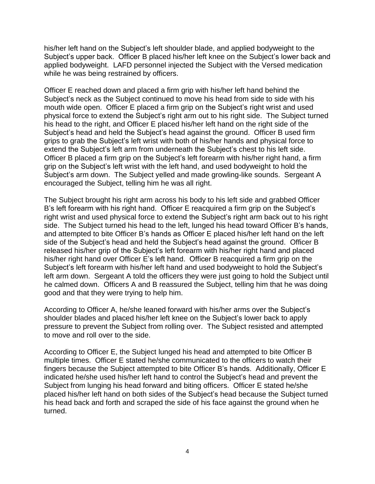his/her left hand on the Subject's left shoulder blade, and applied bodyweight to the Subject's upper back. Officer B placed his/her left knee on the Subject's lower back and applied bodyweight. LAFD personnel injected the Subject with the Versed medication while he was being restrained by officers.

Officer E reached down and placed a firm grip with his/her left hand behind the Subject's neck as the Subject continued to move his head from side to side with his mouth wide open. Officer E placed a firm grip on the Subject's right wrist and used physical force to extend the Subject's right arm out to his right side. The Subject turned his head to the right, and Officer E placed his/her left hand on the right side of the Subject's head and held the Subject's head against the ground. Officer B used firm grips to grab the Subject's left wrist with both of his/her hands and physical force to extend the Subject's left arm from underneath the Subject's chest to his left side. Officer B placed a firm grip on the Subject's left forearm with his/her right hand, a firm grip on the Subject's left wrist with the left hand, and used bodyweight to hold the Subject's arm down. The Subject yelled and made growling-like sounds. Sergeant A encouraged the Subject, telling him he was all right.

The Subject brought his right arm across his body to his left side and grabbed Officer B's left forearm with his right hand. Officer E reacquired a firm grip on the Subject's right wrist and used physical force to extend the Subject's right arm back out to his right side. The Subject turned his head to the left, lunged his head toward Officer B's hands, and attempted to bite Officer B's hands as Officer E placed his/her left hand on the left side of the Subject's head and held the Subject's head against the ground. Officer B released his/her grip of the Subject's left forearm with his/her right hand and placed his/her right hand over Officer E's left hand. Officer B reacquired a firm grip on the Subject's left forearm with his/her left hand and used bodyweight to hold the Subject's left arm down. Sergeant A told the officers they were just going to hold the Subject until he calmed down. Officers A and B reassured the Subject, telling him that he was doing good and that they were trying to help him.

According to Officer A, he/she leaned forward with his/her arms over the Subject's shoulder blades and placed his/her left knee on the Subject's lower back to apply pressure to prevent the Subject from rolling over. The Subject resisted and attempted to move and roll over to the side.

According to Officer E, the Subject lunged his head and attempted to bite Officer B multiple times. Officer E stated he/she communicated to the officers to watch their fingers because the Subject attempted to bite Officer B's hands. Additionally, Officer E indicated he/she used his/her left hand to control the Subject's head and prevent the Subject from lunging his head forward and biting officers. Officer E stated he/she placed his/her left hand on both sides of the Subject's head because the Subject turned his head back and forth and scraped the side of his face against the ground when he turned.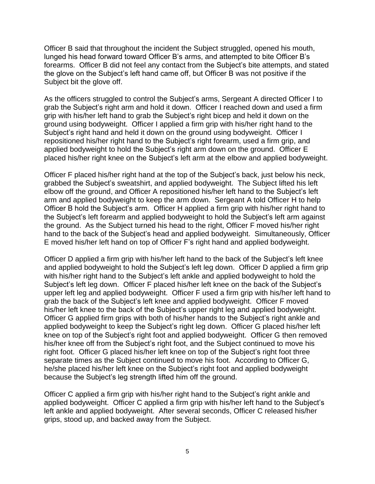Officer B said that throughout the incident the Subject struggled, opened his mouth, lunged his head forward toward Officer B's arms, and attempted to bite Officer B's forearms. Officer B did not feel any contact from the Subject's bite attempts, and stated the glove on the Subject's left hand came off, but Officer B was not positive if the Subject bit the glove off.

As the officers struggled to control the Subject's arms, Sergeant A directed Officer I to grab the Subject's right arm and hold it down. Officer I reached down and used a firm grip with his/her left hand to grab the Subject's right bicep and held it down on the ground using bodyweight. Officer I applied a firm grip with his/her right hand to the Subject's right hand and held it down on the ground using bodyweight. Officer I repositioned his/her right hand to the Subject's right forearm, used a firm grip, and applied bodyweight to hold the Subject's right arm down on the ground. Officer E placed his/her right knee on the Subject's left arm at the elbow and applied bodyweight.

Officer F placed his/her right hand at the top of the Subject's back, just below his neck, grabbed the Subject's sweatshirt, and applied bodyweight. The Subject lifted his left elbow off the ground, and Officer A repositioned his/her left hand to the Subject's left arm and applied bodyweight to keep the arm down. Sergeant A told Officer H to help Officer B hold the Subject's arm. Officer H applied a firm grip with his/her right hand to the Subject's left forearm and applied bodyweight to hold the Subject's left arm against the ground. As the Subject turned his head to the right, Officer F moved his/her right hand to the back of the Subject's head and applied bodyweight. Simultaneously, Officer E moved his/her left hand on top of Officer F's right hand and applied bodyweight.

Officer D applied a firm grip with his/her left hand to the back of the Subject's left knee and applied bodyweight to hold the Subject's left leg down. Officer D applied a firm grip with his/her right hand to the Subject's left ankle and applied bodyweight to hold the Subject's left leg down. Officer F placed his/her left knee on the back of the Subject's upper left leg and applied bodyweight. Officer F used a firm grip with his/her left hand to grab the back of the Subject's left knee and applied bodyweight. Officer F moved his/her left knee to the back of the Subject's upper right leg and applied bodyweight. Officer G applied firm grips with both of his/her hands to the Subject's right ankle and applied bodyweight to keep the Subject's right leg down. Officer G placed his/her left knee on top of the Subject's right foot and applied bodyweight. Officer G then removed his/her knee off from the Subiect's right foot, and the Subiect continued to move his right foot. Officer G placed his/her left knee on top of the Subject's right foot three separate times as the Subject continued to move his foot. According to Officer G, he/she placed his/her left knee on the Subject's right foot and applied bodyweight because the Subject's leg strength lifted him off the ground.

Officer C applied a firm grip with his/her right hand to the Subject's right ankle and applied bodyweight. Officer C applied a firm grip with his/her left hand to the Subject's left ankle and applied bodyweight. After several seconds, Officer C released his/her grips, stood up, and backed away from the Subject.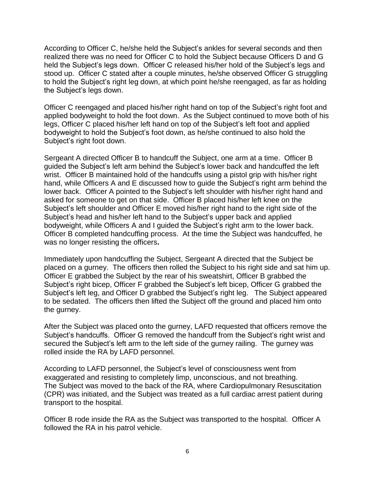According to Officer C, he/she held the Subject's ankles for several seconds and then realized there was no need for Officer C to hold the Subject because Officers D and G held the Subject's legs down. Officer C released his/her hold of the Subject's legs and stood up. Officer C stated after a couple minutes, he/she observed Officer G struggling to hold the Subject's right leg down, at which point he/she reengaged, as far as holding the Subject's legs down.

Officer C reengaged and placed his/her right hand on top of the Subject's right foot and applied bodyweight to hold the foot down. As the Subject continued to move both of his legs, Officer C placed his/her left hand on top of the Subject's left foot and applied bodyweight to hold the Subject's foot down, as he/she continued to also hold the Subject's right foot down.

Sergeant A directed Officer B to handcuff the Subject, one arm at a time. Officer B guided the Subject's left arm behind the Subject's lower back and handcuffed the left wrist. Officer B maintained hold of the handcuffs using a pistol grip with his/her right hand, while Officers A and E discussed how to guide the Subject's right arm behind the lower back. Officer A pointed to the Subject's left shoulder with his/her right hand and asked for someone to get on that side. Officer B placed his/her left knee on the Subject's left shoulder and Officer E moved his/her right hand to the right side of the Subject's head and his/her left hand to the Subject's upper back and applied bodyweight, while Officers A and I guided the Subject's right arm to the lower back. Officer B completed handcuffing process. At the time the Subject was handcuffed, he was no longer resisting the officers**.**

Immediately upon handcuffing the Subject, Sergeant A directed that the Subject be placed on a gurney. The officers then rolled the Subject to his right side and sat him up. Officer E grabbed the Subject by the rear of his sweatshirt, Officer B grabbed the Subject's right bicep, Officer F grabbed the Subject's left bicep, Officer G grabbed the Subject's left leg, and Officer D grabbed the Subject's right leg. The Subject appeared to be sedated. The officers then lifted the Subject off the ground and placed him onto the gurney.

After the Subject was placed onto the gurney, LAFD requested that officers remove the Subject's handcuffs. Officer G removed the handcuff from the Subject's right wrist and secured the Subject's left arm to the left side of the gurney railing. The gurney was rolled inside the RA by LAFD personnel.

According to LAFD personnel, the Subject's level of consciousness went from exaggerated and resisting to completely limp, unconscious, and not breathing. The Subject was moved to the back of the RA, where Cardiopulmonary Resuscitation (CPR) was initiated, and the Subject was treated as a full cardiac arrest patient during transport to the hospital.

Officer B rode inside the RA as the Subject was transported to the hospital. Officer A followed the RA in his patrol vehicle.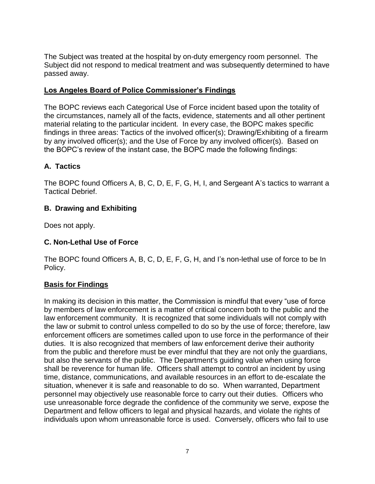The Subject was treated at the hospital by on-duty emergency room personnel. The Subject did not respond to medical treatment and was subsequently determined to have passed away.

## **Los Angeles Board of Police Commissioner's Findings**

The BOPC reviews each Categorical Use of Force incident based upon the totality of the circumstances, namely all of the facts, evidence, statements and all other pertinent material relating to the particular incident. In every case, the BOPC makes specific findings in three areas: Tactics of the involved officer(s); Drawing/Exhibiting of a firearm by any involved officer(s); and the Use of Force by any involved officer(s). Based on the BOPC's review of the instant case, the BOPC made the following findings:

# **A. Tactics**

The BOPC found Officers A, B, C, D, E, F, G, H, I, and Sergeant A's tactics to warrant a Tactical Debrief.

## **B. Drawing and Exhibiting**

Does not apply.

## **C. Non-Lethal Use of Force**

The BOPC found Officers A, B, C, D, E, F, G, H, and I's non-lethal use of force to be In Policy.

### **Basis for Findings**

In making its decision in this matter, the Commission is mindful that every "use of force by members of law enforcement is a matter of critical concern both to the public and the law enforcement community. It is recognized that some individuals will not comply with the law or submit to control unless compelled to do so by the use of force; therefore, law enforcement officers are sometimes called upon to use force in the performance of their duties. It is also recognized that members of law enforcement derive their authority from the public and therefore must be ever mindful that they are not only the guardians, but also the servants of the public. The Department's guiding value when using force shall be reverence for human life. Officers shall attempt to control an incident by using time, distance, communications, and available resources in an effort to de-escalate the situation, whenever it is safe and reasonable to do so. When warranted, Department personnel may objectively use reasonable force to carry out their duties. Officers who use unreasonable force degrade the confidence of the community we serve, expose the Department and fellow officers to legal and physical hazards, and violate the rights of individuals upon whom unreasonable force is used. Conversely, officers who fail to use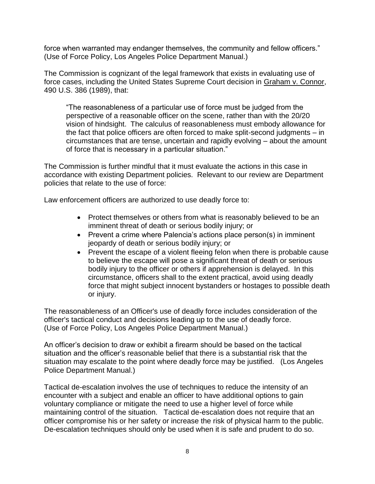force when warranted may endanger themselves, the community and fellow officers." (Use of Force Policy, Los Angeles Police Department Manual.)

The Commission is cognizant of the legal framework that exists in evaluating use of force cases, including the United States Supreme Court decision in Graham v. Connor, 490 U.S. 386 (1989), that:

"The reasonableness of a particular use of force must be judged from the perspective of a reasonable officer on the scene, rather than with the 20/20 vision of hindsight. The calculus of reasonableness must embody allowance for the fact that police officers are often forced to make split-second judgments – in circumstances that are tense, uncertain and rapidly evolving – about the amount of force that is necessary in a particular situation."

The Commission is further mindful that it must evaluate the actions in this case in accordance with existing Department policies. Relevant to our review are Department policies that relate to the use of force:

Law enforcement officers are authorized to use deadly force to:

- Protect themselves or others from what is reasonably believed to be an imminent threat of death or serious bodily injury; or
- Prevent a crime where Palencia's actions place person(s) in imminent jeopardy of death or serious bodily injury; or
- Prevent the escape of a violent fleeing felon when there is probable cause to believe the escape will pose a significant threat of death or serious bodily injury to the officer or others if apprehension is delayed. In this circumstance, officers shall to the extent practical, avoid using deadly force that might subject innocent bystanders or hostages to possible death or injury.

The reasonableness of an Officer's use of deadly force includes consideration of the officer's tactical conduct and decisions leading up to the use of deadly force. (Use of Force Policy, Los Angeles Police Department Manual.)

An officer's decision to draw or exhibit a firearm should be based on the tactical situation and the officer's reasonable belief that there is a substantial risk that the situation may escalate to the point where deadly force may be justified. (Los Angeles Police Department Manual.)

Tactical de-escalation involves the use of techniques to reduce the intensity of an encounter with a subject and enable an officer to have additional options to gain voluntary compliance or mitigate the need to use a higher level of force while maintaining control of the situation. Tactical de-escalation does not require that an officer compromise his or her safety or increase the risk of physical harm to the public. De-escalation techniques should only be used when it is safe and prudent to do so.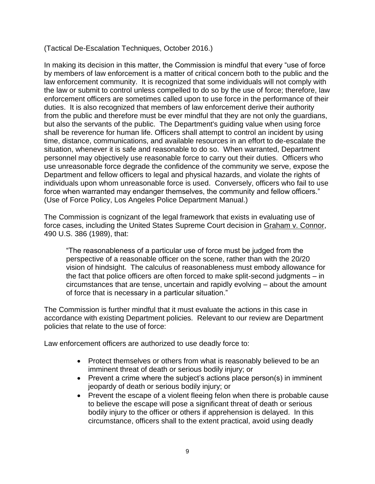(Tactical De-Escalation Techniques, October 2016.)

In making its decision in this matter, the Commission is mindful that every "use of force by members of law enforcement is a matter of critical concern both to the public and the law enforcement community. It is recognized that some individuals will not comply with the law or submit to control unless compelled to do so by the use of force; therefore, law enforcement officers are sometimes called upon to use force in the performance of their duties. It is also recognized that members of law enforcement derive their authority from the public and therefore must be ever mindful that they are not only the guardians, but also the servants of the public. The Department's guiding value when using force shall be reverence for human life. Officers shall attempt to control an incident by using time, distance, communications, and available resources in an effort to de-escalate the situation, whenever it is safe and reasonable to do so. When warranted, Department personnel may objectively use reasonable force to carry out their duties. Officers who use unreasonable force degrade the confidence of the community we serve, expose the Department and fellow officers to legal and physical hazards, and violate the rights of individuals upon whom unreasonable force is used. Conversely, officers who fail to use force when warranted may endanger themselves, the community and fellow officers." (Use of Force Policy, Los Angeles Police Department Manual.)

The Commission is cognizant of the legal framework that exists in evaluating use of force cases, including the United States Supreme Court decision in Graham v. Connor, 490 U.S. 386 (1989), that:

"The reasonableness of a particular use of force must be judged from the perspective of a reasonable officer on the scene, rather than with the 20/20 vision of hindsight. The calculus of reasonableness must embody allowance for the fact that police officers are often forced to make split-second judgments – in circumstances that are tense, uncertain and rapidly evolving – about the amount of force that is necessary in a particular situation."

The Commission is further mindful that it must evaluate the actions in this case in accordance with existing Department policies. Relevant to our review are Department policies that relate to the use of force:

Law enforcement officers are authorized to use deadly force to:

- Protect themselves or others from what is reasonably believed to be an imminent threat of death or serious bodily injury; or
- Prevent a crime where the subject's actions place person(s) in imminent jeopardy of death or serious bodily injury; or
- Prevent the escape of a violent fleeing felon when there is probable cause to believe the escape will pose a significant threat of death or serious bodily injury to the officer or others if apprehension is delayed. In this circumstance, officers shall to the extent practical, avoid using deadly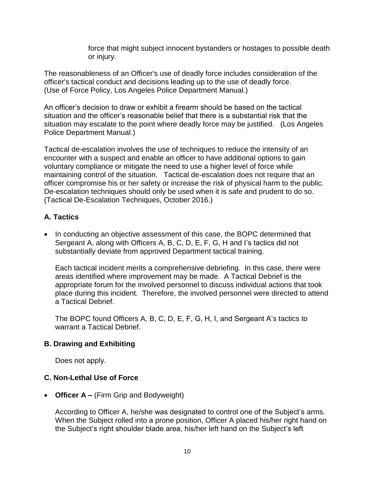force that might subject innocent bystanders or hostages to possible death or injury.

The reasonableness of an Officer's use of deadly force includes consideration of the officer's tactical conduct and decisions leading up to the use of deadly force. (Use of Force Policy, Los Angeles Police Department Manual.)

An officer's decision to draw or exhibit a firearm should be based on the tactical situation and the officer's reasonable belief that there is a substantial risk that the situation may escalate to the point where deadly force may be justified. (Los Angeles Police Department Manual.)

Tactical de-escalation involves the use of techniques to reduce the intensity of an encounter with a suspect and enable an officer to have additional options to gain voluntary compliance or mitigate the need to use a higher level of force while maintaining control of the situation. Tactical de-escalation does not require that an officer compromise his or her safety or increase the risk of physical harm to the public. De-escalation techniques should only be used when it is safe and prudent to do so. (Tactical De-Escalation Techniques, October 2016.)

# **A. Tactics**

• In conducting an objective assessment of this case, the BOPC determined that Sergeant A, along with Officers A, B, C, D, E, F, G, H and I's tactics did not substantially deviate from approved Department tactical training.

Each tactical incident merits a comprehensive debriefing. In this case, there were areas identified where improvement may be made. A Tactical Debrief is the appropriate forum for the involved personnel to discuss individual actions that took place during this incident. Therefore, the involved personnel were directed to attend a Tactical Debrief.

The BOPC found Officers A, B, C, D, E, F, G, H, I, and Sergeant A's tactics to warrant a Tactical Debrief.

### **B. Drawing and Exhibiting**

Does not apply.

### **C. Non-Lethal Use of Force**

• **Officer A –** (Firm Grip and Bodyweight)

According to Officer A, he/she was designated to control one of the Subject's arms. When the Subject rolled into a prone position, Officer A placed his/her right hand on the Subject's right shoulder blade area, his/her left hand on the Subject's left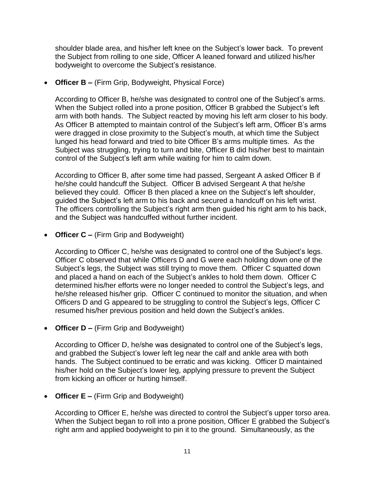shoulder blade area, and his/her left knee on the Subject's lower back. To prevent the Subject from rolling to one side, Officer A leaned forward and utilized his/her bodyweight to overcome the Subject's resistance.

• **Officer B –** (Firm Grip, Bodyweight, Physical Force)

According to Officer B, he/she was designated to control one of the Subject's arms. When the Subject rolled into a prone position, Officer B grabbed the Subject's left arm with both hands. The Subject reacted by moving his left arm closer to his body. As Officer B attempted to maintain control of the Subject's left arm, Officer B's arms were dragged in close proximity to the Subject's mouth, at which time the Subject lunged his head forward and tried to bite Officer B's arms multiple times. As the Subject was struggling, trying to turn and bite, Officer B did his/her best to maintain control of the Subject's left arm while waiting for him to calm down.

According to Officer B, after some time had passed, Sergeant A asked Officer B if he/she could handcuff the Subject. Officer B advised Sergeant A that he/she believed they could. Officer B then placed a knee on the Subject's left shoulder, guided the Subject's left arm to his back and secured a handcuff on his left wrist. The officers controlling the Subject's right arm then guided his right arm to his back, and the Subject was handcuffed without further incident.

• **Officer C –** (Firm Grip and Bodyweight)

According to Officer C, he/she was designated to control one of the Subject's legs. Officer C observed that while Officers D and G were each holding down one of the Subject's legs, the Subject was still trying to move them. Officer C squatted down and placed a hand on each of the Subject's ankles to hold them down. Officer C determined his/her efforts were no longer needed to control the Subject's legs, and he/she released his/her grip. Officer C continued to monitor the situation, and when Officers D and G appeared to be struggling to control the Subject's legs, Officer C resumed his/her previous position and held down the Subject's ankles.

• **Officer D –** (Firm Grip and Bodyweight)

According to Officer D, he/she was designated to control one of the Subject's legs, and grabbed the Subject's lower left leg near the calf and ankle area with both hands. The Subject continued to be erratic and was kicking. Officer D maintained his/her hold on the Subject's lower leg, applying pressure to prevent the Subject from kicking an officer or hurting himself.

• **Officer E –** (Firm Grip and Bodyweight)

According to Officer E, he/she was directed to control the Subject's upper torso area. When the Subject began to roll into a prone position, Officer E grabbed the Subject's right arm and applied bodyweight to pin it to the ground. Simultaneously, as the